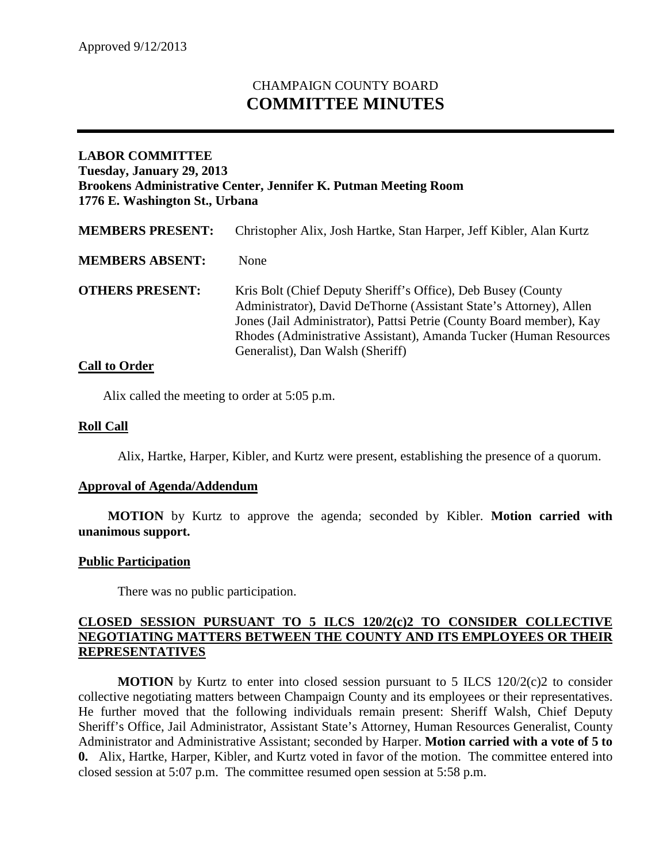# CHAMPAIGN COUNTY BOARD **COMMITTEE MINUTES**

## **LABOR COMMITTEE Tuesday, January 29, 2013 Brookens Administrative Center, Jennifer K. Putman Meeting Room 1776 E. Washington St., Urbana**

| <b>MEMBERS PRESENT:</b> | Christopher Alix, Josh Hartke, Stan Harper, Jeff Kibler, Alan Kurtz                                                                                                                                                                                                                                                 |
|-------------------------|---------------------------------------------------------------------------------------------------------------------------------------------------------------------------------------------------------------------------------------------------------------------------------------------------------------------|
| <b>MEMBERS ABSENT:</b>  | <b>None</b>                                                                                                                                                                                                                                                                                                         |
| <b>OTHERS PRESENT:</b>  | Kris Bolt (Chief Deputy Sheriff's Office), Deb Busey (County<br>Administrator), David DeThorne (Assistant State's Attorney), Allen<br>Jones (Jail Administrator), Pattsi Petrie (County Board member), Kay<br>Rhodes (Administrative Assistant), Amanda Tucker (Human Resources<br>Generalist), Dan Walsh (Sheriff) |

### **Call to Order**

Alix called the meeting to order at 5:05 p.m.

### **Roll Call**

Alix, Hartke, Harper, Kibler, and Kurtz were present, establishing the presence of a quorum.

#### **Approval of Agenda/Addendum**

**MOTION** by Kurtz to approve the agenda; seconded by Kibler. **Motion carried with unanimous support.**

#### **Public Participation**

There was no public participation.

## **CLOSED SESSION PURSUANT TO 5 ILCS 120/2(c)2 TO CONSIDER COLLECTIVE NEGOTIATING MATTERS BETWEEN THE COUNTY AND ITS EMPLOYEES OR THEIR REPRESENTATIVES**

**MOTION** by Kurtz to enter into closed session pursuant to 5 ILCS  $120/2(c)$  to consider collective negotiating matters between Champaign County and its employees or their representatives. He further moved that the following individuals remain present: Sheriff Walsh, Chief Deputy Sheriff's Office, Jail Administrator, Assistant State's Attorney, Human Resources Generalist, County Administrator and Administrative Assistant; seconded by Harper. **Motion carried with a vote of 5 to 0.** Alix, Hartke, Harper, Kibler, and Kurtz voted in favor of the motion. The committee entered into closed session at 5:07 p.m. The committee resumed open session at 5:58 p.m.